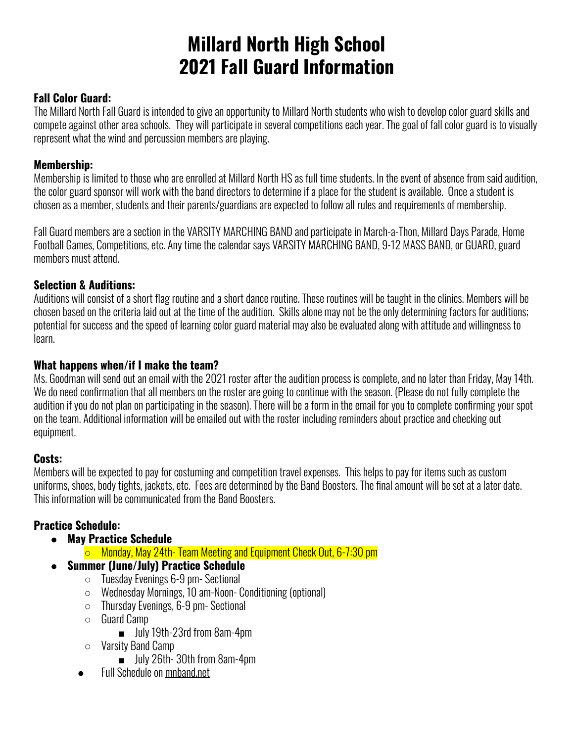# **Millard North High School 2021 Fall Guard Information**

## **Fall Color Guard:**

The Millard North Fall Guard is intended to give an opportunity to Millard North students who wish to develop color guard skills and compete against other area schools. They will participate in several competitions each year. The goal of fall color guard is to visually represent what the wind and percussion members are playing.

## **Membership:**

Membership is limited to those who are enrolled at Millard North HS as full time students. In the event of absence from said audition, the color guard sponsor will work with the band directors to determine if a place for the student is available. Once a student is chosen as a member, students and their parents/guardians are expected to follow all rules and requirements of membership.

Fall Guard members are a section in the VARSITY MARCHING BAND and participate in March-a-Thon, Millard Days Parade, Home Football Games, Competitions, etc. Any time the calendar says VARSITY MARCHING BAND, 9-12 MASS BAND, or GUARD, guard members must attend.

# **Selection & Auditions:**

Auditions will consist of a short flag routine and a short dance routine. These routines will be taught in the clinics. Members will be chosen based on the criteria laid out at the time of the audition. Skills alone may not be the only determining factors for auditions; potential for success and the speed of learning color guard material may also be evaluated along with attitude and willingness to learn.

## **What happens when/if I make the team?**

Ms. Goodman will send out an email with the 2021 roster after the audition process is complete, and no later than Friday, May 14th. We do need confirmation that all members on the roster are going to continue with the season. (Please do not fully complete the audition if you do not plan on participating in the season). There will be a form in the email for you to complete confirming your spot on the team. Additional information will be emailed out with the roster including reminders about practice and checking out equipment.

## **Costs:**

Members will be expected to pay for costuming and competition travel expenses. This helps to pay for items such as custom uniforms, shoes, body tights, jackets, etc. Fees are determined by the Band Boosters. The final amount will be set at a later date. This information will be communicated from the Band Boosters.

# **Practice Schedule:**

- **● May Practice Schedule**
	- Monday, May 24th- Team Meeting and Equipment Check Out, 6-7:30 pm
- **Summer (June/July) Practice Schedule**
	- Tuesday Evenings 6-9 pm- Sectional
	- Wednesday Mornings, 10 am-Noon- Conditioning (optional)
	- Thursday Evenings, 6-9 pm- Sectional
	- Guard Camp
		- July 19th-23rd from 8am-4pm
	- Varsity Band Camp
		- July 26th-30th from 8am-4pm
	- **Full Schedule on mnband.net**